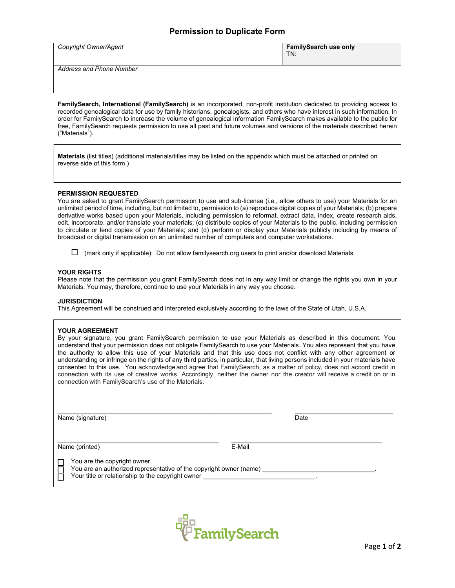## **Permission to Duplicate Form**

| <b>Copyright Owner/Agent</b> | <b>FamilySearch use only</b><br>TN: |
|------------------------------|-------------------------------------|
| Address and Phone Number     |                                     |

**FamilySearch, International (FamilySearch)** is an incorporated, non-profit institution dedicated to providing access to recorded genealogical data for use by family historians, genealogists, and others who have interest in such information. In order for FamilySearch to increase the volume of genealogical information FamilySearch makes available to the public for free, FamilySearch requests permission to use all past and future volumes and versions of the materials described herein ("Materials").

**Materials** (list titles) (additional materials/titles may be listed on the appendix which must be attached or printed on reverse side of this form.)

### **PERMISSION REQUESTED**

You are asked to grant FamilySearch permission to use and sub-license (i.e., allow others to use) your Materials for an unlimited period of time, including, but not limited to, permission to (a) reproduce digital copies of your Materials; (b) prepare derivative works based upon your Materials, including permission to reformat, extract data, index, create research aids, edit, incorporate, and/or translate your materials; (c) distribute copies of your Materials to the public, including permission to circulate or lend copies of your Materials; and (d) perform or display your Materials publicly including by means of broadcast or digital transmission on an unlimited number of computers and computer workstations.

#### **YOUR RIGHTS**

Please note that the permission you grant FamilySearch does not in any way limit or change the rights you own in your Materials. You may, therefore, continue to use your Materials in any way you choose.

#### **JURISDICTION**

This Agreement will be construed and interpreted exclusively according to the laws of the State of Utah, U.S.A.

#### **YOUR AGREEMENT**

By your signature, you grant FamilySearch permission to use your Materials as described in this document. You understand that your permission does not obligate FamilySearch to use your Materials. You also represent that you have the authority to allow this use of your Materials and that this use does not conflict with any other agreement or understanding or infringe on the rights of any third parties, in particular, that living persons included in your materials have consented to this use. You acknowledge and agree that FamilySearch, as a matter of policy, does not accord credit in connection with its use of creative works. Accordingly, neither the owner nor the creator will receive a credit on or in connection with FamilySearch's use of the Materials.

Name (signature)

Date

\_\_\_\_\_\_\_\_\_\_\_\_\_\_\_\_\_\_\_\_\_\_\_\_\_\_\_\_\_\_\_\_\_\_\_\_\_\_\_\_\_\_\_

 $\overline{\phantom{a}}$  , and the set of the set of the set of the set of the set of the set of the set of the set of the set of the set of the set of the set of the set of the set of the set of the set of the set of the set of the s

Name (printed)

E-Mail

You are the copyright owner

You are an authorized representative of the copyright owner (name) Your title or relationship to the copyright owner

\_\_\_\_\_\_\_\_\_\_\_\_\_\_\_\_\_\_\_\_\_\_\_\_\_\_\_\_\_\_\_\_\_\_\_\_\_\_\_\_\_\_\_\_\_\_\_\_\_\_\_\_\_\_\_\_\_\_\_\_\_

 $\overline{\phantom{a}}$  , and the contract of the contract of the contract of the contract of the contract of the contract of the contract of the contract of the contract of the contract of the contract of the contract of the contrac



 $\Box$  (mark only if applicable): Do not allow familysearch.org users to print and/or download Materials